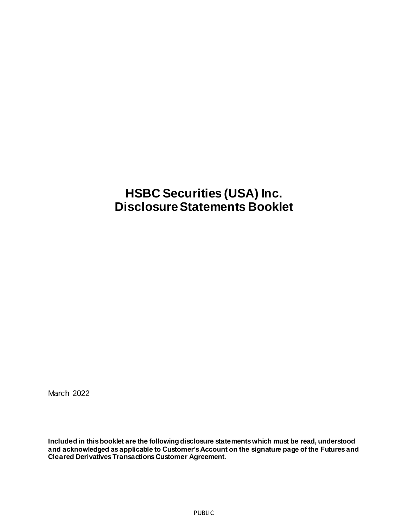# **HSBC Securities (USA) Inc. Disclosure Statements Booklet**

March 2022

**Included in this booklet are the following disclosure statements which must be read, understood and acknowledged as applicable to Customer's Account on the signature page of the Futures and Cleared Derivatives Transactions Customer Agreement.**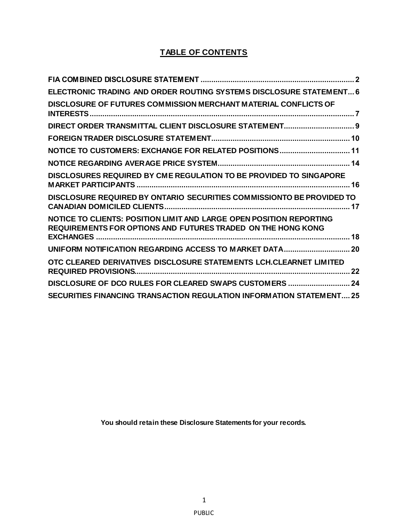# **TABLE OF CONTENTS**

| ELECTRONIC TRADING AND ORDER ROUTING SYSTEMS DISCLOSURE STATEMENT 6   |
|-----------------------------------------------------------------------|
| DISCLOSURE OF FUTURES COMMISSION MERCHANT MATERIAL CONFLICTS OF       |
|                                                                       |
| DIRECT ORDER TRANSMITTAL CLIENT DISCLOSURE STATEMENT 9                |
|                                                                       |
| NOTICE TO CUSTOMERS: EXCHANGE FOR RELATED POSITIONS 11                |
|                                                                       |
| DISCLOSURES REQUIRED BY CME REGULATION TO BE PROVIDED TO SINGAPORE    |
|                                                                       |
| DISCLOSURE REQUIRED BY ONTARIO SECURITIES COMMISSIONTO BE PROVIDED TO |
| NOTICE TO CLIENTS: POSITION LIMIT AND LARGE OPEN POSITION REPORTING   |
| <b>REQUIREMENTS FOR OPTIONS AND FUTURES TRADED ON THE HONG KONG</b>   |
|                                                                       |
|                                                                       |
| OTC CLEARED DERIVATIVES DISCLOSURE STATEMENTS LCH.CLEARNET LIMITED    |
|                                                                       |
| DISCLOSURE OF DCO RULES FOR CLEARED SWAPS CUSTOMERS  24               |
| SECURITIES FINANCING TRANSACTION REGULATION INFORMATION STATEMENT 25  |

**You should retain these Disclosure Statements for your records.**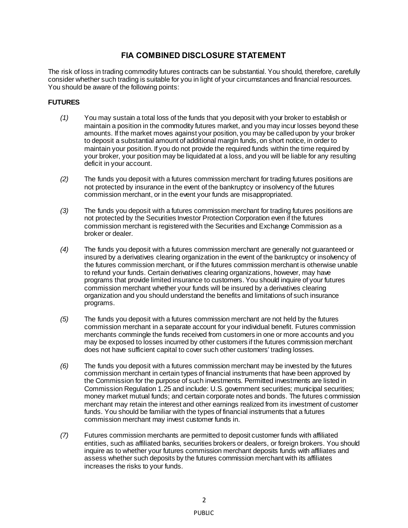# **FIA COMBINED DISCLOSURE STATEMENT**

<span id="page-2-0"></span>The risk of loss in trading commodity futures contracts can be substantial. You should, therefore, carefully consider whether such trading is suitable for you in light of your circumstances and financial resources. You should be aware of the following points:

#### **FUTURES**

- *(1)* You may sustain a total loss of the funds that you deposit with your broker to establish or maintain a position in the commodity futures market, and you may incur losses beyond these amounts. If the market moves against your position, you may be called upon by your broker to deposit a substantial amount of additional margin funds, on short notice, in order to maintain your position. If you do not provide the required funds within the time required by your broker, your position may be liquidated at a loss, and you will be liable for any resulting deficit in your account.
- *(2)* The funds you deposit with a futures commission merchant for trading futures positions are not protected by insurance in the event of the bankruptcy or insolvency of the futures commission merchant, or in the event your funds are misappropriated.
- *(3)* The funds you deposit with a futures commission merchant for trading futures positions are not protected by the Securities Investor Protection Corporation even if the futures commission merchant is registered with the Securities and Exchange Commission as a broker or dealer.
- *(4)* The funds you deposit with a futures commission merchant are generally not guaranteed or insured by a derivatives clearing organization in the event of the bankruptcy or insolvency of the futures commission merchant, or if the futures commission merchant is otherwise unable to refund your funds. Certain derivatives clearing organizations, however, may have programs that provide limited insurance to customers. You should inquire of your futures commission merchant whether your funds will be insured by a derivatives clearing organization and you should understand the benefits and limitations of such insurance programs.
- *(5)* The funds you deposit with a futures commission merchant are not held by the futures commission merchant in a separate account for your individual benefit. Futures commission merchants commingle the funds received from customers in one or more accounts and you may be exposed to losses incurred by other customers if the futures commission merchant does not have sufficient capital to cover such other customers' trading losses.
- *(6)* The funds you deposit with a futures commission merchant may be invested by the futures commission merchant in certain types of financial instruments that have been approved by the Commission for the purpose of such investments. Permitted investments are listed in Commission Regulation 1.25 and include: U.S. government securities; municipal securities; money market mutual funds; and certain corporate notes and bonds. The futures commission merchant may retain the interest and other earnings realized from its investment of customer funds. You should be familiar with the types of financial instruments that a futures commission merchant may invest customer funds in.
- *(7)* Futures commission merchants are permitted to deposit customer funds with affiliated entities, such as affiliated banks, securities brokers or dealers, or foreign brokers. You should inquire as to whether your futures commission merchant deposits funds with affiliates and assess whether such deposits by the futures commission merchant with its affiliates increases the risks to your funds.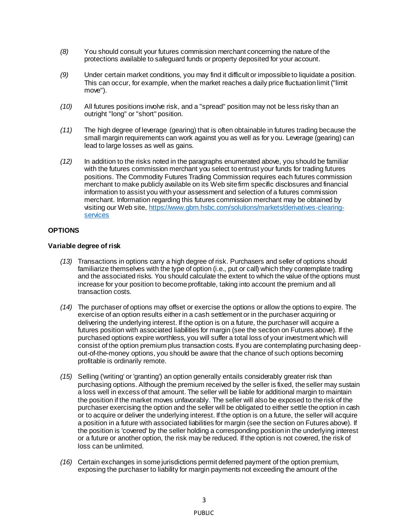- *(8)* You should consult your futures commission merchant concerning the nature of the protections available to safeguard funds or property deposited for your account.
- *(9)* Under certain market conditions, you may find it difficult or impossible to liquidate a position. This can occur, for example, when the market reaches a daily price fluctuation limit ("limit move").
- *(10)* All futures positions involve risk, and a "spread" position may not be less risky than an outright "long" or "short" position.
- *(11)* The high degree of leverage (gearing) that is often obtainable in futures trading because the small margin requirements can work against you as well as for you. Leverage (gearing) can lead to large losses as well as gains.
- *(12)* In addition to the risks noted in the paragraphs enumerated above, you should be familiar with the futures commission merchant you select to entrust your funds for trading futures positions. The Commodity Futures Trading Commission requires each futures commission merchant to make publicly available on its Web site firm specific disclosures and financial information to assist you with your assessment and selection of a futures commission merchant. Information regarding this futures commission merchant may be obtained by visiting our Web site, [https://www.gbm.hsbc.com/solutions/markets/derivatives-clearing](https://www.gbm.hsbc.com/solutions/markets/derivatives-clearing-services)[services](https://www.gbm.hsbc.com/solutions/markets/derivatives-clearing-services)

### **OPTIONS**

### **Variable degree of risk**

- *(13)* Transactions in options carry a high degree of risk. Purchasers and seller of options should familiarize themselves with the type of option (i.e., put or call) which they contemplate trading and the associated risks. You should calculate the extent to which the value of the options must increase for your position to become profitable, taking into account the premium and all transaction costs.
- *(14)* The purchaser of options may offset or exercise the options or allow the options to expire. The exercise of an option results either in a cash settlement or in the purchaser acquiring or delivering the underlying interest. If the option is on a future, the purchaser will acquire a futures position with associated liabilities for margin (see the section on Futures above). If the purchased options expire worthless, you will suffer a total loss of your investment which will consist of the option premium plus transaction costs. If you are contemplating purchasing deepout-of-the-money options, you should be aware that the chance of such options becoming profitable is ordinarily remote.
- *(15)* Selling ('writing' or 'granting') an option generally entails considerably greater risk than purchasing options. Although the premium received by the seller is fixed, the seller may sustain a loss well in excess of that amount. The seller will be liable for additional margin to maintain the position if the market moves unfavorably. The seller will also be exposed to the risk of the purchaser exercising the option and the seller will be obligated to either settle the option in cash or to acquire or deliver the underlying interest. If the option is on a future, the seller will acquire a position in a future with associated liabilities for margin (see the section on Futures above). If the position is 'covered' by the seller holding a corresponding position in the underlying interest or a future or another option, the risk may be reduced. If the option is not covered, the risk of loss can be unlimited.
- *(16)* Certain exchanges in some jurisdictions permit deferred payment of the option premium, exposing the purchaser to liability for margin payments not exceeding the amount of the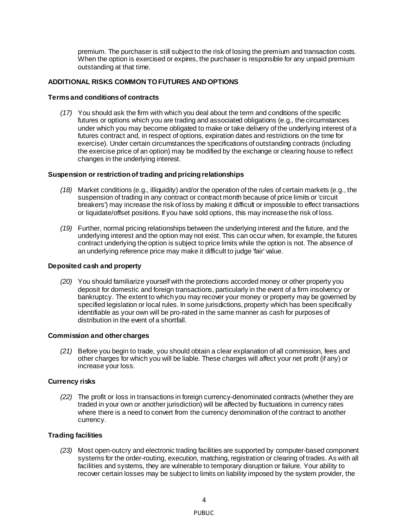premium. The purchaser is still subject to the risk of losing the premium and transaction costs. When the option is exercised or expires, the purchaser is responsible for any unpaid premium outstanding at that time.

### **ADDITIONAL RISKS COMMON TO FUTURES AND OPTIONS**

#### **Terms and conditions of contracts**

*(17)* You should ask the firm with which you deal about the term and conditions of the specific futures or options which you are trading and associated obligations (e.g., the circumstances under which you may become obligated to make or take delivery of the underlying interest of a futures contract and, in respect of options, expiration dates and restrictions on the time for exercise). Under certain circumstances the specifications of outstanding contracts (including the exercise price of an option) may be modified by the exchange or clearing house to reflect changes in the underlying interest.

#### **Suspension or restriction of trading and pricing relationships**

- *(18)* Market conditions (e.g., illiquidity) and/or the operation of the rules of certain markets (e.g., the suspension of trading in any contract or contract month because of price limits or 'circuit breakers') may increase the risk of loss by making it difficult or impossible to effect transactions or liquidate/offset positions. If you have sold options, this may increase the risk of loss.
- *(19)* Further, normal pricing relationships between the underlying interest and the future, and the underlying interest and the option may not exist. This can occur when, for example, the futures contract underlying the option is subject to price limits while the option is not. The absence of an underlying reference price may make it difficult to judge 'fair' value.

#### **Deposited cash and property**

*(20)* You should familiarize yourself with the protections accorded money or other property you deposit for domestic and foreign transactions, particularly in the event of a firm insolvency or bankruptcy. The extent to which you may recover your money or property may be governed by specified legislation or local rules. In some jurisdictions, property which has been specifically identifiable as your own will be pro-rated in the same manner as cash for purposes of distribution in the event of a shortfall.

#### **Commission and other charges**

*(21)* Before you begin to trade, you should obtain a clear explanation of all commission, fees and other charges for which you will be liable. These charges will affect your net profit (if any) or increase your loss.

#### **Currency risks**

*(22)* The profit or loss in transactions in foreign currency-denominated contracts (whether they are traded in your own or another jurisdiction) will be affected by fluctuations in currency rates where there is a need to convert from the currency denomination of the contract to another currency.

#### **Trading facilities**

*(23)* Most open-outcry and electronic trading facilities are supported by computer-based component systems for the order-routing, execution, matching, registration or clearing of trades. As with all facilities and systems, they are vulnerable to temporary disruption or failure. Your ability to recover certain losses may be subject to limits on liability imposed by the system provider, the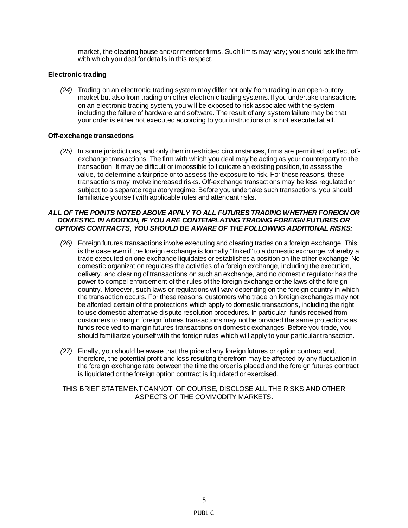market, the clearing house and/or member firms. Such limits may vary; you should ask the firm with which you deal for details in this respect.

#### **Electronic trading**

*(24)* Trading on an electronic trading system may differ not only from trading in an open-outcry market but also from trading on other electronic trading systems. If you undertake transactions on an electronic trading system, you will be exposed to risk associated with the system including the failure of hardware and software. The result of any system failure may be that your order is either not executed according to your instructions or is not executed at all.

#### **Off-exchange transactions**

*(25)* In some jurisdictions, and only then in restricted circumstances, firms are permitted to effect offexchange transactions. The firm with which you deal may be acting as your counterparty to the transaction. It may be difficult or impossible to liquidate an existing position, to assess the value, to determine a fair price or to assess the exposure to risk. For these reasons, these transactions may involve increased risks. Off-exchange transactions may be less regulated or subject to a separate regulatory regime. Before you undertake such transactions, you should familiarize yourself with applicable rules and attendant risks.

#### *ALL OF THE POINTS NOTED ABOVE APPLY TO ALL FUTURES TRADING WHETHER FOREIGN OR DOMESTIC. IN ADDITION, IF YOU ARE CONTEMPLATING TRADING FOREIGN FUTURES OR OPTIONS CONTRACTS, YOU SHOULD BE AWARE OF THE FOLLOWING ADDITIONAL RISKS:*

- *(26)* Foreign futures transactions involve executing and clearing trades on a foreign exchange. This is the case even if the foreign exchange is formally "linked" to a domestic exchange, whereby a trade executed on one exchange liquidates or establishes a position on the other exchange. No domestic organization regulates the activities of a foreign exchange, including the execution, delivery, and clearing of transactions on such an exchange, and no domestic regulator has the power to compel enforcement of the rules of the foreign exchange or the laws of the foreign country. Moreover, such laws or regulations will vary depending on the foreign country in which the transaction occurs. For these reasons, customers who trade on foreign exchanges may not be afforded certain of the protections which apply to domestic transactions, including the right to use domestic alternative dispute resolution procedures. In particular, funds received from customers to margin foreign futures transactions may not be provided the same protections as funds received to margin futures transactions on domestic exchanges. Before you trade, you should familiarize yourself with the foreign rules which will apply to your particular transaction.
- *(27)* Finally, you should be aware that the price of any foreign futures or option contract and, therefore, the potential profit and loss resulting therefrom may be affected by any fluctuation in the foreign exchange rate between the time the order is placed and the foreign futures contract is liquidated or the foreign option contract is liquidated or exercised.

### THIS BRIEF STATEMENT CANNOT, OF COURSE, DISCLOSE ALL THE RISKS AND OTHER ASPECTS OF THE COMMODITY MARKETS.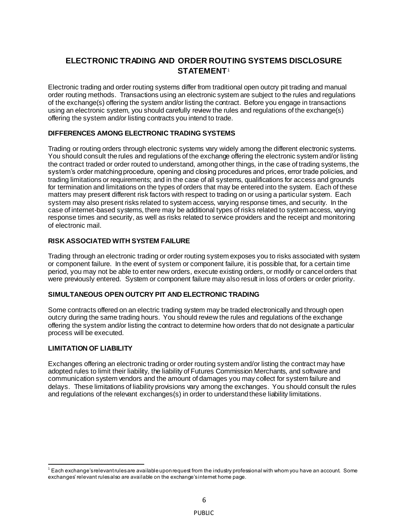# <span id="page-6-0"></span>**ELECTRONIC TRADING AND ORDER ROUTING SYSTEMS DISCLOSURE STATEMENT**<sup>1</sup>

Electronic trading and order routing systems differ from traditional open outcry pit trading and manual order routing methods. Transactions using an electronic system are subject to the rules and regulations of the exchange(s) offering the system and/or listing the contract. Before you engage in transactions using an electronic system, you should carefully review the rules and regulations of the exchange(s) offering the system and/or listing contracts you intend to trade.

#### **DIFFERENCES AMONG ELECTRONIC TRADING SYSTEMS**

Trading or routing orders through electronic systems vary widely among the different electronic systems. You should consult the rules and regulations of the exchange offering the electronic system and/or listing the contract traded or order routed to understand, among other things, in the case of trading systems, the system's order matching procedure, opening and closing procedures and prices, error trade policies, and trading limitations or requirements; and in the case of all systems, qualifications for access and grounds for termination and limitations on the types of orders that may be entered into the system. Each of these matters may present different risk factors with respect to trading on or using a particular system. Each system may also present risks related to system access, varying response times, and security. In the case of internet-based systems, there may be additional types of risks related to system access, varying response times and security, as well as risks related to service providers and the receipt and monitoring of electronic mail.

#### **RISK ASSOCIATED WITH SYSTEM FAILURE**

Trading through an electronic trading or order routing system exposes you to risks associated with system or component failure. In the event of system or component failure, it is possible that, for a certain time period, you may not be able to enter new orders, execute existing orders, or modify or cancel orders that were previously entered. System or component failure may also result in loss of orders or order priority.

### **SIMULTANEOUS OPEN OUTCRY PIT AND ELECTRONIC TRADING**

Some contracts offered on an electric trading system may be traded electronically and through open outcry during the same trading hours. You should review the rules and regulations of the exchange offering the system and/or listing the contract to determine how orders that do not designate a particular process will be executed.

### **LIMITATION OF LIABILITY**

Exchanges offering an electronic trading or order routing system and/or listing the contract may have adopted rules to limit their liability, the liability of Futures Commission Merchants, and software and communication system vendors and the amount of damages you may collect for system failure and delays. These limitations of liability provisions vary among the exchanges. You should consult the rules and regulations of the relevant exchanges(s) in order to understand these liability limitations.

  $^{\rm 1}$  Each exchange's relevant rules are available upon request from the industry professional with whom you have an account. Some exchanges' relevant rules also are available on the exchange's internet home page.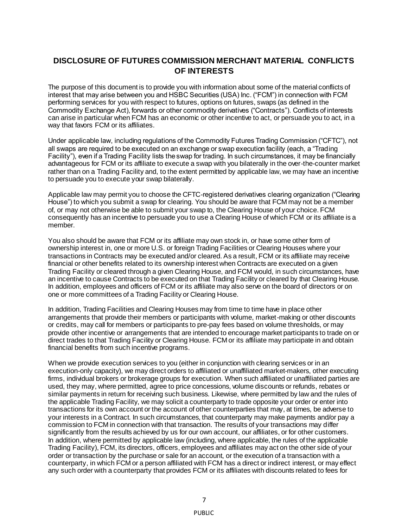# <span id="page-7-0"></span>**DISCLOSURE OF FUTURES COMMISSION MERCHANT MATERIAL CONFLICTS OF INTERESTS**

The purpose of this document is to provide you with information about some of the material conflicts of interest that may arise between you and HSBC Securities (USA) Inc. ("FCM") in connection with FCM performing services for you with respect to futures, options on futures, swaps (as defined in the Commodity Exchange Act), forwards or other commodity derivatives ("Contracts"). Conflicts of interests can arise in particular when FCM has an economic or other incentive to act, or persuade you to act, in a way that favors FCM or its affiliates.

Under applicable law, including regulations of the Commodity Futures Trading Commission ("CFTC"), not all swaps are required to be executed on an exchange or swap execution facility (each, a "Trading Facility"), even if a Trading Facility lists the swap for trading. In such circumstances, it may be financially advantageous for FCM or its affiliate to execute a swap with you bilaterally in the over-the-counter market rather than on a Trading Facility and, to the extent permitted by applicable law, we may have an incentive to persuade you to execute your swap bilaterally.

Applicable law may permit you to choose the CFTC-registered derivatives clearing organization ("Clearing House") to which you submit a swap for clearing. You should be aware that FCM may not be a member of, or may not otherwise be able to submit your swap to, the Clearing House of your choice. FCM consequently has an incentive to persuade you to use a Clearing House of which FCM or its affiliate is a member.

You also should be aware that FCM or its affiliate may own stock in, or have some other form of ownership interest in, one or more U.S. or foreign Trading Facilities or Clearing Houses where your transactions in Contracts may be executed and/or cleared. As a result, FCM or its affiliate may receive financial or other benefits related to its ownership interest when Contracts are executed on a given Trading Facility or cleared through a given Clearing House, and FCM would, in such circumstances, have an incentive to cause Contracts to be executed on that Trading Facility or cleared by that Clearing House. In addition, employees and officers of FCM or its affiliate may also serve on the board of directors or on one or more committees of a Trading Facility or Clearing House.

In addition, Trading Facilities and Clearing Houses may from time to time have in place other arrangements that provide their members or participants with volume, market-making or other discounts or credits, may call for members or participants to pre-pay fees based on volume thresholds, or may provide other incentive or arrangements that are intended to encourage market participants to trade on or direct trades to that Trading Facility or Clearing House. FCM or its affiliate may participate in and obtain financial benefits from such incentive programs.

When we provide execution services to you (either in conjunction with clearing services or in an execution-only capacity), we may direct orders to affiliated or unaffiliated market-makers, other executing firms, individual brokers or brokerage groups for execution. When such affiliated or unaffiliated parties are used, they may, where permitted, agree to price concessions, volume discounts or refunds, rebates or similar payments in return for receiving such business. Likewise, where permitted by law and the rules of the applicable Trading Facility, we may solicit a counterparty to trade opposite your order or enter into transactions for its own account or the account of other counterparties that may, at times, be adverse to your interests in a Contract. In such circumstances, that counterparty may make payments and/or pay a commission to FCM in connection with that transaction. The results of your transactions may differ significantly from the results achieved by us for our own account, our affiliates, or for other customers. In addition, where permitted by applicable law (including, where applicable, the rules of the applicable Trading Facility), FCM, its directors, officers, employees and affiliates may act on the other side of your order or transaction by the purchase or sale for an account, or the execution of a transaction with a counterparty, in which FCM or a person affiliated with FCM has a direct or indirect interest, or may effect any such order with a counterparty that provides FCM or its affiliates with discounts related to fees for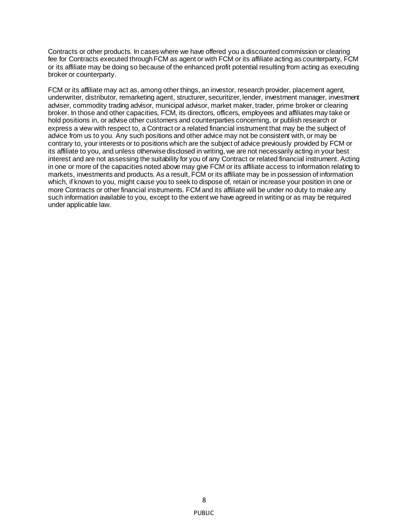Contracts or other products. In cases where we have offered you a discounted commission or clearing fee for Contracts executed through FCM as agent or with FCM or its affiliate acting as counterparty, FCM or its affiliate may be doing so because of the enhanced profit potential resulting from acting as executing broker or counterparty.

FCM or its affiliate may act as, among other things, an investor, research provider, placement agent, underwriter, distributor, remarketing agent, structurer, securitizer, lender, investment manager, investment adviser, commodity trading advisor, municipal advisor, market maker, trader, prime broker or clearing broker. In those and other capacities, FCM, its directors, officers, employees and affiliates may take or hold positions in, or advise other customers and counterparties concerning, or publish research or express a view with respect to, a Contract or a related financial instrument that may be the subject of advice from us to you. Any such positions and other advice may not be consistent with, or may be contrary to, your interests or to positions which are the subject of advice previously provided by FCM or its affiliate to you, and unless otherwise disclosed in writing, we are not necessarily acting in your best interest and are not assessing the suitability for you of any Contract or related financial instrument. Acting in one or more of the capacities noted above may give FCM or its affiliate access to information relating to markets, investments and products. As a result, FCM or its affiliate may be in possession of information which, if known to you, might cause you to seek to dispose of, retain or increase your position in one or more Contracts or other financial instruments. FCM and its affiliate will be under no duty to make any such information available to you, except to the extent we have agreed in writing or as may be required under applicable law.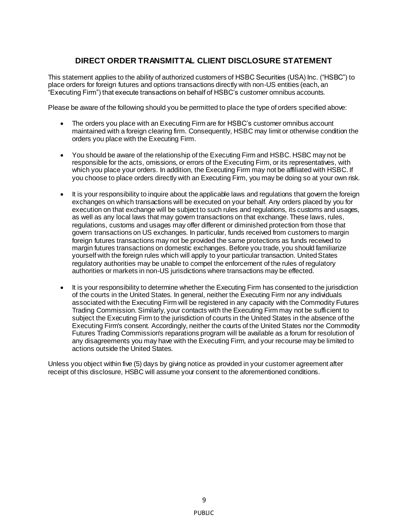# **DIRECT ORDER TRANSMITTAL CLIENT DISCLOSURE STATEMENT**

<span id="page-9-0"></span>This statement applies to the ability of authorized customers of HSBC Securities (USA) Inc. ("HSBC") to place orders for foreign futures and options transactions directly with non-US entities (each, an "Executing Firm") that execute transactions on behalf of HSBC's customer omnibus accounts.

Please be aware of the following should you be permitted to place the type of orders specified above:

- The orders you place with an Executing Firm are for HSBC's customer omnibus account maintained with a foreign clearing firm. Consequently, HSBC may limit or otherwise condition the orders you place with the Executing Firm.
- You should be aware of the relationship of the Executing Firm and HSBC. HSBC may not be responsible for the acts, omissions, or errors of the Executing Firm, or its representatives, with which you place your orders. In addition, the Executing Firm may not be affiliated with HSBC. If you choose to place orders directly with an Executing Firm, you may be doing so at your own risk.
- It is your responsibility to inquire about the applicable laws and regulations that govern the foreign exchanges on which transactions will be executed on your behalf. Any orders placed by you for execution on that exchange will be subject to such rules and regulations, its customs and usages, as well as any local laws that may govern transactions on that exchange. These laws, rules, regulations, customs and usages may offer different or diminished protection from those that govern transactions on US exchanges. In particular, funds received from customers to margin foreign futures transactions may not be provided the same protections as funds received to margin futures transactions on domestic exchanges. Before you trade, you should familiarize yourself with the foreign rules which will apply to your particular transaction. United States regulatory authorities may be unable to compel the enforcement of the rules of regulatory authorities or markets in non-US jurisdictions where transactions may be effected.
- It is your responsibility to determine whether the Executing Firm has consented to the jurisdiction of the courts in the United States. In general, neither the Executing Firm nor any individuals associated with the Executing Firm will be registered in any capacity with the Commodity Futures Trading Commission. Similarly, your contacts with the Executing Firm may not be sufficient to subject the Executing Firm to the jurisdiction of courts in the United States in the absence of the Executing Firm's consent. Accordingly, neither the courts of the United States nor the Commodity Futures Trading Commission's reparations program will be available as a forum for resolution of any disagreements you may have with the Executing Firm, and your recourse may be limited to actions outside the United States.

Unless you object within five (5) days by giving notice as provided in your customer agreement after receipt of this disclosure, HSBC will assume your consent to the aforementioned conditions.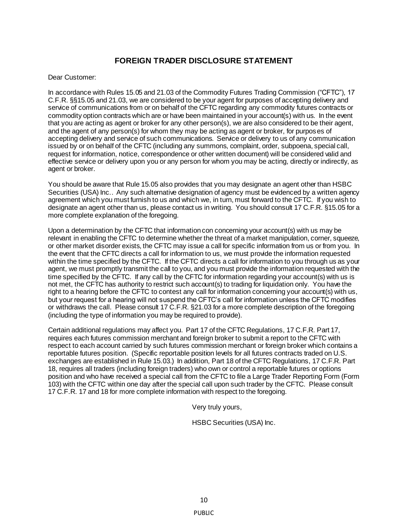# **FOREIGN TRADER DISCLOSURE STATEMENT**

<span id="page-10-0"></span>Dear Customer:

In accordance with Rules 15.05 and 21.03 of the Commodity Futures Trading Commission ("CFTC"), 17 C.F.R. §§15.05 and 21.03, we are considered to be your agent for purposes of accepting delivery and service of communications from or on behalf of the CFTC regarding any commodity futures contracts or commodity option contracts which are or have been maintained in your account(s) with us. In the event that you are acting as agent or broker for any other person(s), we are also considered to be their agent, and the agent of any person(s) for whom they may be acting as agent or broker, for purposes of accepting delivery and service of such communications. Service or delivery to us of any communication issued by or on behalf of the CFTC (including any summons, complaint, order, subpoena, special call, request for information, notice, correspondence or other written document) will be considered valid and effective service or delivery upon you or any person for whom you may be acting, directly or indirectly, as agent or broker.

You should be aware that Rule 15.05 also provides that you may designate an agent other than HSBC Securities (USA) Inc.. Any such alternative designation of agency must be evidenced by a written agency agreement which you must furnish to us and which we, in turn, must forward to the CFTC. If you wish to designate an agent other than us, please contact us in writing. You should consult 17 C.F.R. §15.05 for a more complete explanation of the foregoing.

Upon a determination by the CFTC that information con concerning your account(s) with us may be relevant in enabling the CFTC to determine whether the threat of a market manipulation, corner, squeeze, or other market disorder exists, the CFTC may issue a call for specific information from us or from you. In the event that the CFTC directs a call for information to us, we must provide the information requested within the time specified by the CFTC. If the CFTC directs a call for information to you through us as your agent, we must promptly transmit the call to you, and you must provide the information requested with the time specified by the CFTC. If any call by the CFTC for information regarding your account(s) with us is not met, the CFTC has authority to restrict such account(s) to trading for liquidation only. You have the right to a hearing before the CFTC to contest any call for information concerning your account(s) with us, but your request for a hearing will not suspend the CFTC's call for information unless the CFTC modifies or withdraws the call. Please consult 17 C.F.R. §21.03 for a more complete description of the foregoing (including the type of information you may be required to provide).

Certain additional regulations may affect you. Part 17 of the CFTC Regulations, 17 C.F.R. Part 17, requires each futures commission merchant and foreign broker to submit a report to the CFTC with respect to each account carried by such futures commission merchant or foreign broker which contains a reportable futures position. (Specific reportable position levels for all futures contracts traded on U.S. exchanges are established in Rule 15.03.) In addition, Part 18 of the CFTC Regulations, 17 C.F.R. Part 18, requires all traders (including foreign traders) who own or control a reportable futures or options position and who have received a special call from the CFTC to file a Large Trader Reporting Form (Form 103) with the CFTC within one day after the special call upon such trader by the CFTC. Please consult 17 C.F.R. 17 and 18 for more complete information with respect to the foregoing.

Very truly yours,

HSBC Securities (USA) Inc.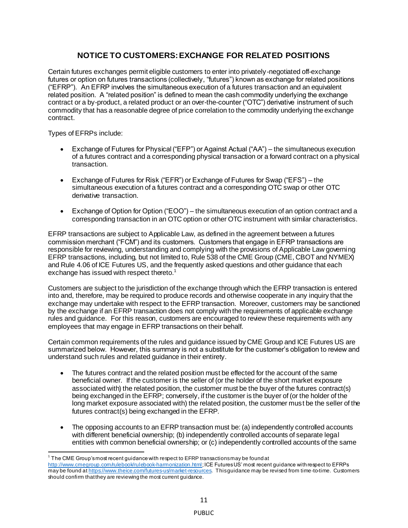# **NOTICE TO CUSTOMERS: EXCHANGE FOR RELATED POSITIONS**

<span id="page-11-0"></span>Certain futures exchanges permit eligible customers to enter into privately-negotiated off-exchange futures or option on futures transactions (collectively, "futures") known as exchange for related positions ("EFRP"). An EFRP involves the simultaneous execution of a futures transaction and an equivalent related position. A "related position" is defined to mean the cash commodity underlying the exchange contract or a by-product, a related product or an over-the-counter ("OTC") derivative instrument of such commodity that has a reasonable degree of price correlation to the commodity underlying the exchange contract.

Types of EFRPs include:

- Exchange of Futures for Physical ("EFP") or Against Actual ("AA") the simultaneous execution of a futures contract and a corresponding physical transaction or a forward contract on a physical transaction.
- Exchange of Futures for Risk ("EFR") or Exchange of Futures for Swap ("EFS") the simultaneous execution of a futures contract and a corresponding OTC swap or other OTC derivative transaction.
- Exchange of Option for Option ("EOO") the simultaneous execution of an option contract and a corresponding transaction in an OTC option or other OTC instrument with similar characteristics.

EFRP transactions are subject to Applicable Law, as defined in the agreement between a futures commission merchant ("FCM") and its customers. Customers that engage in EFRP transactions are responsible for reviewing, understanding and complying with the provisions of Applicable Law governing EFRP transactions, including, but not limited to, Rule 538 of the CME Group (CME, CBOT and NYMEX) and Rule 4.06 of ICE Futures US, and the frequently asked questions and other guidance that each exchange has issued with respect thereto.<sup>1</sup>

Customers are subject to the jurisdiction of the exchange through which the EFRP transaction is entered into and, therefore, may be required to produce records and otherwise cooperate in any inquiry that the exchange may undertake with respect to the EFRP transaction. Moreover, customers may be sanctioned by the exchange if an EFRP transaction does not comply with the requirements of applicable exchange rules and guidance. For this reason, customers are encouraged to review these requirements with any employees that may engage in EFRP transactions on their behalf.

Certain common requirements of the rules and guidance issued by CME Group and ICE Futures US are summarized below. However, this summary is not a substitute for the customer's obligation to review and understand such rules and related guidance in their entirety.

- The futures contract and the related position must be effected for the account of the same beneficial owner. If the customer is the seller of (or the holder of the short market exposure associated with) the related position, the customer must be the buyer of the futures contract(s) being exchanged in the EFRP; conversely, if the customer is the buyer of (or the holder of the long market exposure associated with) the related position, the customer must be the seller of the futures contract(s) being exchanged in the EFRP.
- The opposing accounts to an EFRP transaction must be: (a) independently controlled accounts with different beneficial ownership; (b) independently controlled accounts of separate legal entities with common beneficial ownership; or (c) independently controlled accounts of the same

 1 The CME Group's most recent guidance with respect to EFRP transactions may be found at <http://www.cmegroup.com/rulebook/rulebook-harmonization.html>; ICE Futures US' most recent guidance with respect to EFRPs may be found a[t https://www.theice.com/futures-us/market-resources.](https://www.theice.com/futures-us/market-resources) This guidance may be revised from time-to-time. Customers should confirm that they are reviewing the most current guidance.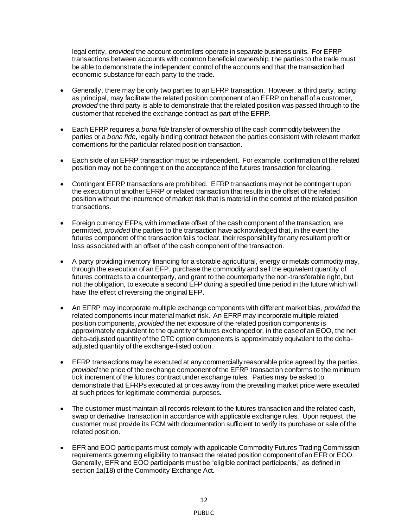legal entity, *provided* the account controllers operate in separate business units. For EFRP transactions between accounts with common beneficial ownership, the parties to the trade must be able to demonstrate the independent control of the accounts and that the transaction had economic substance for each party to the trade.

- Generally, there may be only two parties to an EFRP transaction. However, a third party, acting as principal, may facilitate the related position component of an EFRP on behalf of a customer, *provided* the third party is able to demonstrate that the related position was passed through to the customer that received the exchange contract as part of the EFRP.
- Each EFRP requires a *bona fide* transfer of ownership of the cash commodity between the parties or a *bona fide*, legally binding contract between the parties consistent with relevant market conventions for the particular related position transaction.
- Each side of an EFRP transaction must be independent. For example, confirmation of the related position may not be contingent on the acceptance of the futures transaction for clearing.
- Contingent EFRP transactions are prohibited. EFRP transactions may not be contingent upon the execution of another EFRP or related transaction that results in the offset of the related position without the incurrence of market risk that is material in the context of the related position transactions.
- Foreign currency EFPs, with immediate offset of the cash component of the transaction, are permitted, *provided* the parties to the transaction have acknowledged that, in the event the futures component of the transaction fails to clear, their responsibility for any resultant profit or loss associated with an offset of the cash component of the transaction.
- A party providing inventory financing for a storable agricultural, energy or metals commodity may, through the execution of an EFP, purchase the commodity and sell the equivalent quantity of futures contracts to a counterparty, and grant to the counterparty the non-transferable right, but not the obligation, to execute a second EFP during a specified time period in the future which will have the effect of reversing the original EFP.
- An EFRP may incorporate multiple exchange components with different market bias, *provided* the related components incur material market risk. An EFRP may incorporate multiple related position components, *provided* the net exposure of the related position components is approximately equivalent to the quantity of futures exchanged or, in the case of an EOO, the net delta-adjusted quantity of the OTC option components is approximately equivalent to the deltaadjusted quantity of the exchange-listed option.
- EFRP transactions may be executed at any commercially reasonable price agreed by the parties, *provided* the price of the exchange component of the EFRP transaction conforms to the minimum tick increment of the futures contract under exchange rules. Parties may be asked to demonstrate that EFRPs executed at prices away from the prevailing market price were executed at such prices for legitimate commercial purposes.
- The customer must maintain all records relevant to the futures transaction and the related cash, swap or derivative transaction in accordance with applicable exchange rules. Upon request, the customer must provide its FCM with documentation sufficient to verify its purchase or sale of the related position.
- EFR and EOO participants must comply with applicable Commodity Futures Trading Commission requirements governing eligibility to transact the related position component of an EFR or EOO. Generally, EFR and EOO participants must be "eligible contract participants," as defined in section 1a(18) of the Commodity Exchange Act.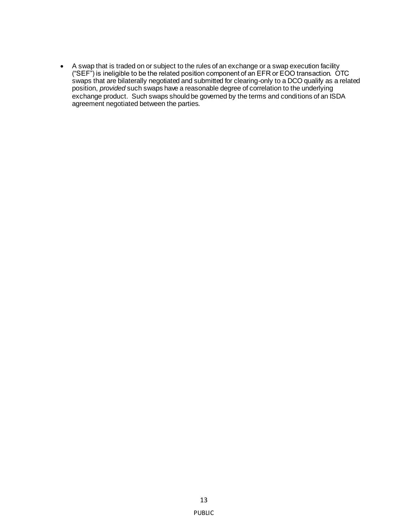A swap that is traded on or subject to the rules of an exchange or a swap execution facility ("SEF") is ineligible to be the related position component of an EFR or EOO transaction. OTC swaps that are bilaterally negotiated and submitted for clearing-only to a DCO qualify as a related position, *provided* such swaps have a reasonable degree of correlation to the underlying exchange product. Such swaps should be governed by the terms and conditions of an ISDA agreement negotiated between the parties.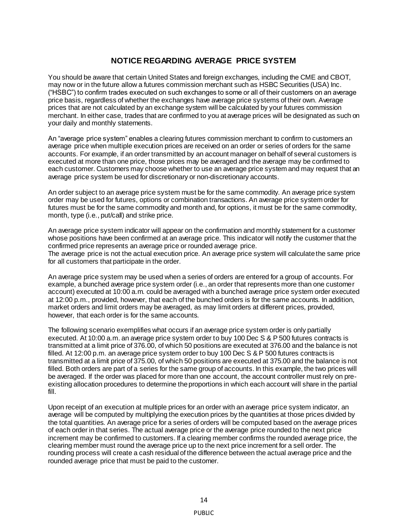# **NOTICE REGARDING AVERAGE PRICE SYSTEM**

<span id="page-14-0"></span>You should be aware that certain United States and foreign exchanges, including the CME and CBOT, may now or in the future allow a futures commission merchant such as HSBC Securities (USA) Inc. ("HSBC") to confirm trades executed on such exchanges to some or all of their customers on an average price basis, regardless of whether the exchanges have average price systems of their own. Average prices that are not calculated by an exchange system will be calculated by your futures commission merchant. In either case, trades that are confirmed to you at average prices will be designated as such on your daily and monthly statements.

An "average price system" enables a clearing futures commission merchant to confirm to customers an average price when multiple execution prices are received on an order or series of orders for the same accounts. For example, if an order transmitted by an account manager on behalf of several customers is executed at more than one price, those prices may be averaged and the average may be confirmed to each customer. Customers may choose whether to use an average price system and may request that an average price system be used for discretionary or non-discretionary accounts.

An order subject to an average price system must be for the same commodity. An average price system order may be used for futures, options or combination transactions. An average price system order for futures must be for the same commodity and month and, for options, it must be for the same commodity, month, type (i.e., put/call) and strike price.

An average price system indicator will appear on the confirmation and monthly statement for a customer whose positions have been confirmed at an average price. This indicator will notify the customer that the confirmed price represents an average price or rounded average price. The average price is not the actual execution price. An average price system will calculate the same price for all customers that participate in the order.

An average price system may be used when a series of orders are entered for a group of accounts. For example, a bunched average price system order (i.e., an order that represents more than one customer account) executed at 10:00 a.m. could be averaged with a bunched average price system order executed at 12:00 p.m., provided, however, that each of the bunched orders is for the same accounts. In addition, market orders and limit orders may be averaged, as may limit orders at different prices, provided, however, that each order is for the same accounts.

The following scenario exemplifies what occurs if an average price system order is only partially executed. At 10:00 a.m. an average price system order to buy 100 Dec S & P 500 futures contracts is transmitted at a limit price of 376.00, of which 50 positions are executed at 376.00 and the balance is not filled. At 12:00 p.m. an average price system order to buy 100 Dec S & P 500 futures contracts is transmitted at a limit price of 375.00, of which 50 positions are executed at 375.00 and the balance is not filled. Both orders are part of a series for the same group of accounts. In this example, the two prices will be averaged. If the order was placed for more than one account, the account controller must rely on preexisting allocation procedures to determine the proportions in which each account will share in the partial fill.

Upon receipt of an execution at multiple prices for an order with an average price system indicator, an average will be computed by multiplying the execution prices by the quantities at those prices divided by the total quantities. An average price for a series of orders will be computed based on the average prices of each order in that series. The actual average price or the average price rounded to the next price increment may be confirmed to customers. If a clearing member confirms the rounded average price, the clearing member must round the average price up to the next price increment for a sell order. The rounding process will create a cash residual of the difference between the actual average price and the rounded average price that must be paid to the customer.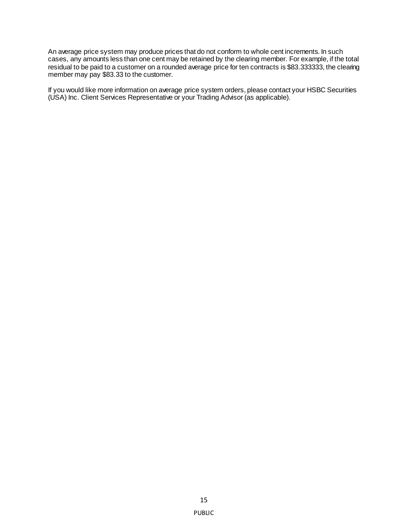An average price system may produce prices that do not conform to whole cent increments. In such cases, any amounts less than one cent may be retained by the clearing member. For example, if the total residual to be paid to a customer on a rounded average price for ten contracts is \$83.333333, the clearing member may pay \$83.33 to the customer.

If you would like more information on average price system orders, please contact your HSBC Securities (USA) Inc. Client Services Representative or your Trading Advisor (as applicable).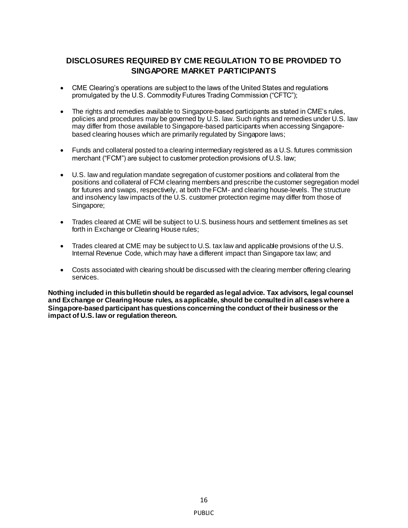# <span id="page-16-0"></span>**DISCLOSURES REQUIRED BY CME REGULATION TO BE PROVIDED TO SINGAPORE MARKET PARTICIPANTS**

- CME Clearing's operations are subject to the laws of the United States and regulations promulgated by the U.S. Commodity Futures Trading Commission ("CFTC");
- The rights and remedies available to Singapore-based participants as stated in CME's rules, policies and procedures may be governed by U.S. law. Such rights and remedies under U.S. law may differ from those available to Singapore-based participants when accessing Singaporebased clearing houses which are primarily regulated by Singapore laws;
- Funds and collateral posted to a clearing intermediary registered as a U.S. futures commission merchant ("FCM") are subject to customer protection provisions of U.S. law;
- U.S. law and regulation mandate segregation of customer positions and collateral from the positions and collateral of FCM clearing members and prescribe the customer segregation model for futures and swaps, respectively, at both the FCM- and clearing house-levels. The structure and insolvency law impacts of the U.S. customer protection regime may differ from those of Singapore;
- Trades cleared at CME will be subject to U.S. business hours and settlement timelines as set forth in Exchange or Clearing House rules;
- Trades cleared at CME may be subject to U.S. tax law and applicable provisions of the U.S. Internal Revenue Code, which may have a different impact than Singapore tax law; and
- Costs associated with clearing should be discussed with the clearing member offering clearing services.

**Nothing included in this bulletin should be regarded as legal advice. Tax advisors, legal counsel and Exchange or Clearing House rules, as applicable, should be consulted in all cases where a Singapore-based participant has questions concerning the conduct of their business or the impact of U.S. law or regulation thereon.**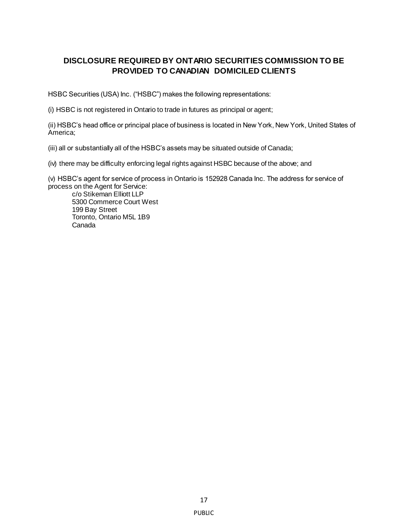# <span id="page-17-0"></span>**DISCLOSURE REQUIRED BY ONTARIO SECURITIES COMMISSION TO BE PROVIDED TO CANADIAN DOMICILED CLIENTS**

HSBC Securities (USA) Inc. ("HSBC") makes the following representations:

(i) HSBC is not registered in Ontario to trade in futures as principal or agent;

(ii) HSBC's head office or principal place of business is located in New York, New York, United States of America;

(iii) all or substantially all of the HSBC's assets may be situated outside of Canada;

(iv) there may be difficulty enforcing legal rights against HSBC because of the above; and

(v) HSBC's agent for service of process in Ontario is 152928 Canada Inc. The address for service of process on the Agent for Service:

c/o Stikeman Elliott LLP 5300 Commerce Court West 199 Bay Street Toronto, Ontario M5L 1B9 Canada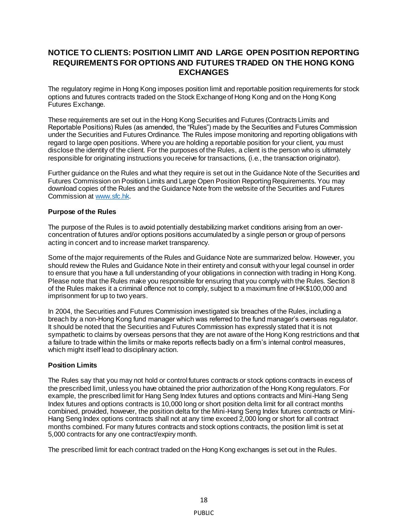# <span id="page-18-0"></span>**NOTICE TO CLIENTS: POSITION LIMIT AND LARGE OPEN POSITION REPORTING REQUIREMENTS FOR OPTIONS AND FUTURES TRADED ON THE HONG KONG EXCHANGES**

The regulatory regime in Hong Kong imposes position limit and reportable position requirements for stock options and futures contracts traded on the Stock Exchange of Hong Kong and on the Hong Kong Futures Exchange.

These requirements are set out in the Hong Kong Securities and Futures (Contracts Limits and Reportable Positions) Rules (as amended, the "Rules") made by the Securities and Futures Commission under the Securities and Futures Ordinance. The Rules impose monitoring and reporting obligations with regard to large open positions. Where you are holding a reportable position for your client, you must disclose the identity of the client. For the purposes of the Rules, a client is the person who is ultimately responsible for originating instructions you receive for transactions, (i.e., the transaction originator).

Further guidance on the Rules and what they require is set out in the Guidance Note of the Securities and Futures Commission on Position Limits and Large Open Position Reporting Requirements. You may download copies of the Rules and the Guidance Note from the website of the Securities and Futures Commission a[t www.sfc.hk.](http://www.sfc.hk/)

### **Purpose of the Rules**

The purpose of the Rules is to avoid potentially destabilizing market conditions arising from an overconcentration of futures and/or options positions accumulated by a single person or group of persons acting in concert and to increase market transparency.

Some of the major requirements of the Rules and Guidance Note are summarized below. However, you should review the Rules and Guidance Note in their entirety and consult with your legal counsel in order to ensure that you have a full understanding of your obligations in connection with trading in Hong Kong. Please note that the Rules make you responsible for ensuring that you comply with the Rules. Section 8 of the Rules makes it a criminal offence not to comply, subject to a maximum fine of HK\$100,000 and imprisonment for up to two years.

In 2004, the Securities and Futures Commission investigated six breaches of the Rules, including a breach by a non-Hong Kong fund manager which was referred to the fund manager's overseas regulator. It should be noted that the Securities and Futures Commission has expressly stated that it is not sympathetic to claims by overseas persons that they are not aware of the Hong Kong restrictions and that a failure to trade within the limits or make reports reflects badly on a firm's internal control measures, which might itself lead to disciplinary action.

### **Position Limits**

The Rules say that you may not hold or control futures contracts or stock options contracts in excess of the prescribed limit, unless you have obtained the prior authorization of the Hong Kong regulators. For example, the prescribed limit for Hang Seng Index futures and options contracts and Mini-Hang Seng Index futures and options contracts is 10,000 long or short position delta limit for all contract months combined, provided, however, the position delta for the Mini-Hang Seng Index futures contracts or Mini-Hang Seng Index options contracts shall not at any time exceed 2,000 long or short for all contract months combined. For many futures contracts and stock options contracts, the position limit is set at 5,000 contracts for any one contract/expiry month.

The prescribed limit for each contract traded on the Hong Kong exchanges is set out in the Rules.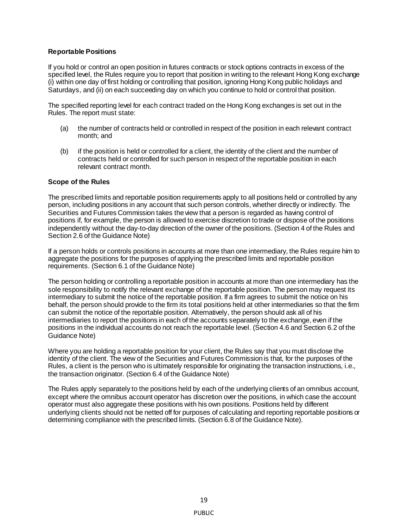### **Reportable Positions**

If you hold or control an open position in futures contracts or stock options contracts in excess of the specified level, the Rules require you to report that position in writing to the relevant Hong Kong exchange (i) within one day of first holding or controlling that position, ignoring Hong Kong public holidays and Saturdays, and (ii) on each succeeding day on which you continue to hold or control that position.

The specified reporting level for each contract traded on the Hong Kong exchanges is set out in the Rules. The report must state:

- (a) the number of contracts held or controlled in respect of the position in each relevant contract month; and
- (b) if the position is held or controlled for a client, the identity of the client and the number of contracts held or controlled for such person in respect of the reportable position in each relevant contract month.

#### **Scope of the Rules**

The prescribed limits and reportable position requirements apply to all positions held or controlled by any person, including positions in any account that such person controls, whether directly or indirectly. The Securities and Futures Commission takes the view that a person is regarded as having control of positions if, for example, the person is allowed to exercise discretion to trade or dispose of the positions independently without the day-to-day direction of the owner of the positions. (Section 4 of the Rules and Section 2.6 of the Guidance Note)

If a person holds or controls positions in accounts at more than one intermediary, the Rules require him to aggregate the positions for the purposes of applying the prescribed limits and reportable position requirements. (Section 6.1 of the Guidance Note)

The person holding or controlling a reportable position in accounts at more than one intermediary has the sole responsibility to notify the relevant exchange of the reportable position. The person may request its intermediary to submit the notice of the reportable position. If a firm agrees to submit the notice on his behalf, the person should provide to the firm its total positions held at other intermediaries so that the firm can submit the notice of the reportable position. Alternatively, the person should ask all of his intermediaries to report the positions in each of the accounts separately to the exchange, even if the positions in the individual accounts do not reach the reportable level. (Section 4.6 and Section 6.2 of the Guidance Note)

Where you are holding a reportable position for your client, the Rules say that you must disclose the identity of the client. The view of the Securities and Futures Commission is that, for the purposes of the Rules, a client is the person who is ultimately responsible for originating the transaction instructions, i.e., the transaction originator. (Section 6.4 of the Guidance Note)

The Rules apply separately to the positions held by each of the underlying clients of an omnibus account, except where the omnibus account operator has discretion over the positions, in which case the account operator must also aggregate these positions with his own positions. Positions held by different underlying clients should not be netted off for purposes of calculating and reporting reportable positions or determining compliance with the prescribed limits. (Section 6.8 of the Guidance Note).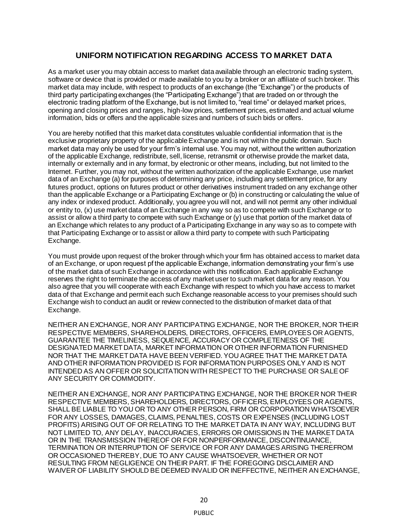# **UNIFORM NOTIFICATION REGARDING ACCESS TO MARKET DATA**

<span id="page-20-0"></span>As a market user you may obtain access to market data available through an electronic trading system, software or device that is provided or made available to you by a broker or an affiliate of such broker. This market data may include, with respect to products of an exchange (the "Exchange") or the products of third party participating exchanges (the "Participating Exchange") that are traded on or through the electronic trading platform of the Exchange, but is not limited to, "real time" or delayed market prices, opening and closing prices and ranges, high-low prices, settlement prices, estimated and actual volume information, bids or offers and the applicable sizes and numbers of such bids or offers.

You are hereby notified that this market data constitutes valuable confidential information that is the exclusive proprietary property of the applicable Exchange and is not within the public domain. Such market data may only be used for your firm's internal use. You may not, without the written authorization of the applicable Exchange, redistribute, sell, license, retransmit or otherwise provide the market data, internally or externally and in any format, by electronic or other means, including, but not limited to the Internet. Further, you may not, without the written authorization of the applicable Exchange, use market data of an Exchange (a) for purposes of determining any price, including any settlement price, for any futures product, options on futures product or other derivatives instrument traded on any exchange other than the applicable Exchange or a Participating Exchange or (b) in constructing or calculating the value of any index or indexed product. Additionally, you agree you will not, and will not permit any other individual or entity to, (x) use market data of an Exchange in any way so as to compete with such Exchange or to assist or allow a third party to compete with such Exchange or (y) use that portion of the market data of an Exchange which relates to any product of a Participating Exchange in any way so as to compete with that Participating Exchange or to assist or allow a third party to compete with such Participating Exchange.

You must provide upon request of the broker through which your firm has obtained access to market data of an Exchange, or upon request pf the applicable Exchange, information demonstrating your firm's use of the market data of such Exchange in accordance with this notification. Each applicable Exchange reserves the right to terminate the access of any market user to such market data for any reason. You also agree that you will cooperate with each Exchange with respect to which you have access to market data of that Exchange and permit each such Exchange reasonable access to your premises should such Exchange wish to conduct an audit or review connected to the distribution of market data of that Exchange.

NEITHER AN EXCHANGE, NOR ANY PARTICIPATING EXCHANGE, NOR THE BROKER, NOR THEIR RESPECTIVE MEMBERS, SHAREHOLDERS, DIRECTORS, OFFICERS, EMPLOYEES OR AGENTS, GUARANTEE THE TIMELINESS, SEQUENCE, ACCURACY OR COMPLETENESS OF THE DESIGNATED MARKET DATA, MARKET INFORMATION OR OTHER INFORMATION FURNISHED NOR THAT THE MARKET DATA HAVE BEEN VERIFIED. YOU AGREE THAT THE MARKET DATA AND OTHER INFORMATION PROVIDED IS FOR INFORMATION PURPOSES ONLY AND IS NOT INTENDED AS AN OFFER OR SOLICITATION WITH RESPECT TO THE PURCHASE OR SALE OF ANY SECURITY OR COMMODITY.

NEITHER AN EXCHANGE, NOR ANY PARTICIPATING EXCHANGE, NOR THE BROKER NOR THEIR RESPECTIVE MEMBERS, SHAREHOLDERS, DIRECTORS, OFFICERS, EMPLOYEES OR AGENTS, SHALL BE LIABLE TO YOU OR TO ANY OTHER PERSON, FIRM OR CORPORATION WHATSOEVER FOR ANY LOSSES, DAMAGES, CLAIMS, PENALTIES, COSTS OR EXPENSES (INCLUDING LOST PROFITS) ARISING OUT OF OR RELATING TO THE MARKET DATA IN ANY WAY, INCLUDING BUT NOT LIMITED TO, ANY DELAY, INACCURACIES, ERRORS OR OMISSIONS IN THE MARKET DATA OR IN THE TRANSMISSION THEREOF OR FOR NONPERFORMANCE, DISCONTINUANCE, TERMINATION OR INTERRUPTION OF SERVICE OR FOR ANY DAMAGES ARISING THEREFROM OR OCCASIONED THEREBY, DUE TO ANY CAUSE WHATSOEVER, WHETHER OR NOT RESULTING FROM NEGLIGENCE ON THEIR PART. IF THE FOREGOING DISCLAIMER AND WAIVER OF LIABILITY SHOULD BE DEEMED INVALID OR INEFFECTIVE, NEITHER AN EXCHANGE,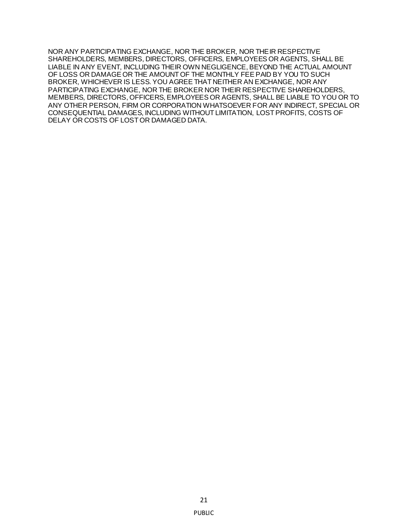NOR ANY PARTICIPATING EXCHANGE, NOR THE BROKER, NOR THEIR RESPECTIVE SHAREHOLDERS, MEMBERS, DIRECTORS, OFFICERS, EMPLOYEES OR AGENTS, SHALL BE LIABLE IN ANY EVENT, INCLUDING THEIR OWN NEGLIGENCE, BEYOND THE ACTUAL AMOUNT OF LOSS OR DAMAGE OR THE AMOUNT OF THE MONTHLY FEE PAID BY YOU TO SUCH BROKER, WHICHEVER IS LESS. YOU AGREE THAT NEITHER AN EXCHANGE, NOR ANY PARTICIPATING EXCHANGE, NOR THE BROKER NOR THEIR RESPECTIVE SHAREHOLDERS, MEMBERS, DIRECTORS, OFFICERS, EMPLOYEES OR AGENTS, SHALL BE LIABLE TO YOU OR TO ANY OTHER PERSON, FIRM OR CORPORATION WHATSOEVER FOR ANY INDIRECT, SPECIAL OR CONSEQUENTIAL DAMAGES, INCLUDING WITHOUT LIMITATION, LOST PROFITS, COSTS OF DELAY OR COSTS OF LOST OR DAMAGED DATA.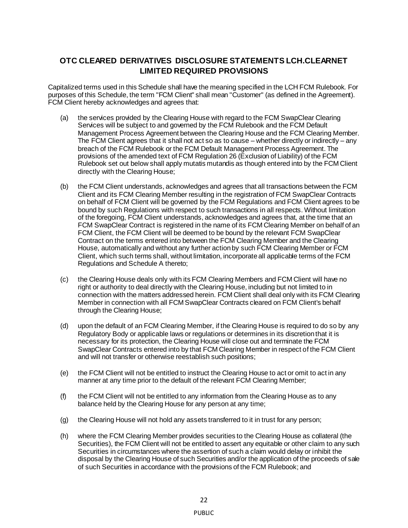# <span id="page-22-0"></span>**OTC CLEARED DERIVATIVES DISCLOSURE STATEMENTS LCH.CLEARNET LIMITED REQUIRED PROVISIONS**

Capitalized terms used in this Schedule shall have the meaning specified in the LCH FCM Rulebook. For purposes of this Schedule, the term "FCM Client" shall mean "Customer" (as defined in the Agreement). FCM Client hereby acknowledges and agrees that:

- (a) the services provided by the Clearing House with regard to the FCM SwapClear Clearing Services will be subject to and governed by the FCM Rulebook and the FCM Default Management Process Agreement between the Clearing House and the FCM Clearing Member. The FCM Client agrees that it shall not act so as to cause – whether directly or indirectly – any breach of the FCM Rulebook or the FCM Default Management Process Agreement. The provisions of the amended text of FCM Regulation 26 (Exclusion of Liability) of the FCM Rulebook set out below shall apply mutatis mutandis as though entered into by the FCM Client directly with the Clearing House;
- (b) the FCM Client understands, acknowledges and agrees that all transactions between the FCM Client and its FCM Clearing Member resulting in the registration of FCM SwapClear Contracts on behalf of FCM Client will be governed by the FCM Regulations and FCM Client agrees to be bound by such Regulations with respect to such transactions in all respects. Without limitation of the foregoing, FCM Client understands, acknowledges and agrees that, at the time that an FCM SwapClear Contract is registered in the name of its FCM Clearing Member on behalf of an FCM Client, the FCM Client will be deemed to be bound by the relevant FCM SwapClear Contract on the terms entered into between the FCM Clearing Member and the Clearing House, automatically and without any further action by such FCM Clearing Member or FCM Client, which such terms shall, without limitation, incorporate all applicable terms of the FCM Regulations and Schedule A thereto;
- (c) the Clearing House deals only with its FCM Clearing Members and FCM Client will have no right or authority to deal directly with the Clearing House, including but not limited to in connection with the matters addressed herein. FCM Client shall deal only with its FCM Clearing Member in connection with all FCM SwapClear Contracts cleared on FCM Client's behalf through the Clearing House;
- (d) upon the default of an FCM Clearing Member, if the Clearing House is required to do so by any Regulatory Body or applicable laws or regulations or determines in its discretion that it is necessary for its protection, the Clearing House will close out and terminate the FCM SwapClear Contracts entered into by that FCM Clearing Member in respect of the FCM Client and will not transfer or otherwise reestablish such positions;
- (e) the FCM Client will not be entitled to instruct the Clearing House to act or omit to act in any manner at any time prior to the default of the relevant FCM Clearing Member;
- (f) the FCM Client will not be entitled to any information from the Clearing House as to any balance held by the Clearing House for any person at any time;
- (g) the Clearing House will not hold any assets transferred to it in trust for any person;
- (h) where the FCM Clearing Member provides securities to the Clearing House as collateral (the Securities), the FCM Client will not be entitled to assert any equitable or other claim to any such Securities in circumstances where the assertion of such a claim would delay or inhibit the disposal by the Clearing House of such Securities and/or the application of the proceeds of sale of such Securities in accordance with the provisions of the FCM Rulebook; and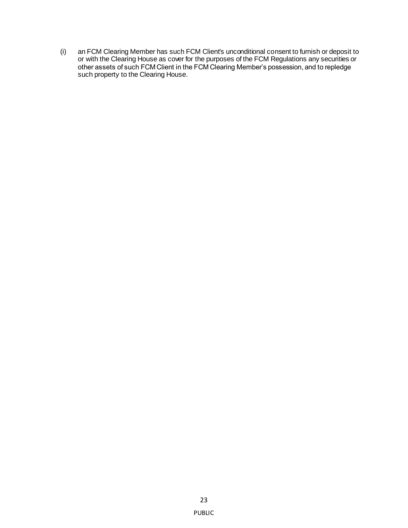(i) an FCM Clearing Member has such FCM Client's unconditional consent to furnish or deposit to or with the Clearing House as cover for the purposes of the FCM Regulations any securities or other assets of such FCM Client in the FCM Clearing Member's possession, and to repledge such property to the Clearing House.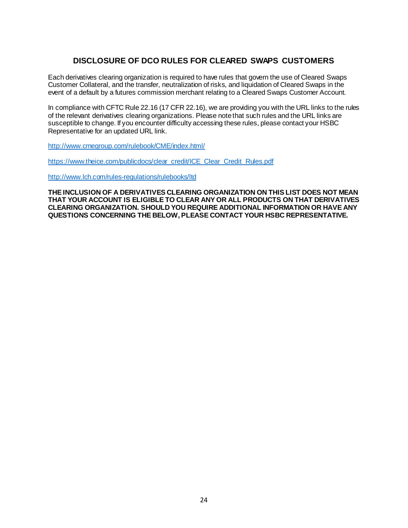# **DISCLOSURE OF DCO RULES FOR CLEARED SWAPS CUSTOMERS**

<span id="page-24-0"></span>Each derivatives clearing organization is required to have rules that govern the use of Cleared Swaps Customer Collateral, and the transfer, neutralization of risks, and liquidation of Cleared Swaps in the event of a default by a futures commission merchant relating to a Cleared Swaps Customer Account.

In compliance with CFTC Rule 22.16 (17 CFR 22.16), we are providing you with the URL links to the rules of the relevant derivatives clearing organizations. Please note that such rules and the URL links are susceptible to change. If you encounter difficulty accessing these rules, please contact your HSBC Representative for an updated URL link.

<http://www.cmegroup.com/rulebook/CME/index.html/>

[https://www.theice.com/publicdocs/clear\\_credit/ICE\\_Clear\\_Credit\\_Rules.pdf](https://www.theice.com/publicdocs/clear_credit/ICE_Clear_Credit_Rules.pdf)

<http://www.lch.com/rules-regulations/rulebooks/ltd>

**THE INCLUSION OF A DERIVATIVES CLEARING ORGANIZATION ON THIS LIST DOES NOT MEAN THAT YOUR ACCOUNT IS ELIGIBLE TO CLEAR ANY OR ALL PRODUCTS ON THAT DERIVATIVES CLEARING ORGANIZATION. SHOULD YOU REQUIRE ADDITIONAL INFORMATION OR HAVE ANY QUESTIONS CONCERNING THE BELOW, PLEASE CONTACT YOUR HSBC REPRESENTATIVE.**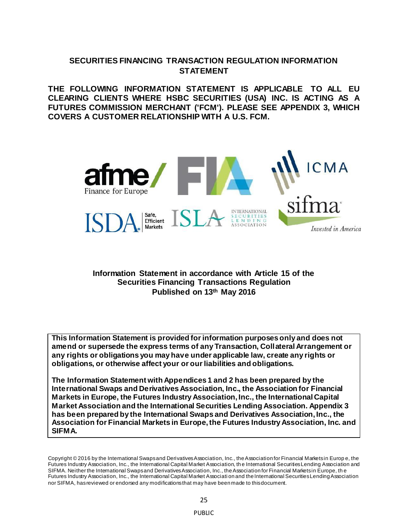# <span id="page-25-0"></span>**SECURITIES FINANCING TRANSACTION REGULATION INFORMATION STATEMENT**

**THE FOLLOWING INFORMATION STATEMENT IS APPLICABLE TO ALL EU CLEARING CLIENTS WHERE HSBC SECURITIES (USA) INC. IS ACTING AS A FUTURES COMMISSION MERCHANT ('FCM'). PLEASE SEE APPENDIX 3, WHICH COVERS A CUSTOMER RELATIONSHIP WITH A U.S. FCM.**



### **Information Statement in accordance with Article 15 of the Securities Financing Transactions Regulation Published on 13th May 2016**

**This Information Statement is provided for information purposes only and does not amend or supersede the express terms of any Transaction, Collateral Arrangement or any rights or obligations you may have under applicable law, create any rights or obligations, or otherwise affect your or our liabilities and obligations.**

**The Information Statement with Appendices 1 and 2 has been prepared by the International Swaps and Derivatives Association, Inc., the Association for Financial Markets in Europe, the Futures Industry Association, Inc., the International Capital Market Association and the International Securities Lending Association. Appendix 3 has been prepared by the International Swaps and Derivatives Association, Inc., the Association for Financial Markets in Europe, the Futures Industry Association, Inc. and SIFMA.**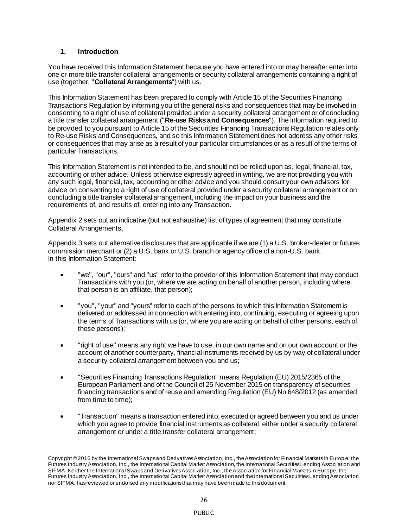### **1. Introduction**

You have received this Information Statement because you have entered into or may hereafter enter into one or more title transfer collateral arrangements or security collateral arrangements containing a right of use (together, "**Collateral Arrangements**") with us.

This Information Statement has been prepared to comply with Article 15 of the Securities Financing Transactions Regulation by informing you of the general risks and consequences that may be involved in consenting to a right of use of collateral provided under a security collateral arrangement or of concluding a title transfer collateral arrangement ("**Re-use Risks and Consequences**"). The information required to be provided to you pursuant to Article 15 of the Securities Financing Transactions Regulation relates only to Re-use Risks and Consequences, and so this Information Statement does not address any other risks or consequences that may arise as a result of your particular circumstances or as a result of the terms of particular Transactions.

This Information Statement is not intended to be, and should not be relied upon as, legal, financial, tax, accounting or other advice. Unless otherwise expressly agreed in writing, we are not providing you with any such legal, financial, tax, accounting or other advice and you should consult your own advisors for advice on consenting to a right of use of collateral provided under a security collateral arrangement or on concluding a title transfer collateral arrangement, including the impact on your business and the requirements of, and results of, entering into any Transaction.

Appendix 2 sets out an indicative (but not exhaustive) list of types of agreement that may constitute Collateral Arrangements.

Appendix 3 sets out alternative disclosures that are applicable if we are (1) a U.S. broker-dealer or futures commission merchant or (2) a U.S. bank or U.S. branch or agency office of a non-U.S. bank. In this Information Statement:

- "we", "our", "ours" and "us" refer to the provider of this Information Statement that may conduct Transactions with you (or, where we are acting on behalf of another person, including where that person is an affiliate, that person);
- "you", "your" and "yours" refer to each of the persons to which this Information Statement is delivered or addressed in connection with entering into, continuing, executing or agreeing upon the terms of Transactions with us (or, where you are acting on behalf of other persons, each of those persons);
- "right of use" means any right we have to use, in our own name and on our own account or the account of another counterparty, financial instruments received by us by way of collateral under a security collateral arrangement between you and us;
- "Securities Financing Transactions Regulation" means Regulation (EU) 2015/2365 of the European Parliament and of the Council of 25 November 2015 on transparency of securities financing transactions and of reuse and amending Regulation (EU) No 648/2012 (as amended from time to time);
- "Transaction" means a transaction entered into, executed or agreed between you and us under which you agree to provide financial instruments as collateral, either under a security collateral arrangement or under a title transfer collateral arrangement;

Copyright © 2016 by the International Swaps and Derivatives Association, Inc., the Association for Financial Markets in Europ e, the Futures Industry Association, Inc., the International Capital Market Association, the International Securities Lending Associ ation and SIFMA. Neither the International Swaps and Derivatives Association, Inc., the Association for Financial Markets in Europe, the Futures Industry Association, Inc., the International Capital Market Association and the International Securities Lending Association nor SIFMA, has reviewed or endorsed any modifications that may have been made to this document.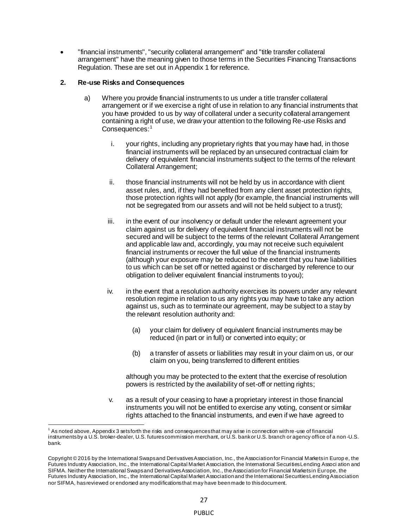"financial instruments", "security collateral arrangement" and "title transfer collateral arrangement" have the meaning given to those terms in the Securities Financing Transactions Regulation. These are set out in Appendix 1 for reference.

#### **2. Re-use Risks and Consequences**

- a) Where you provide financial instruments to us under a title transfer collateral arrangement or if we exercise a right of use in relation to any financial instruments that you have provided to us by way of collateral under a security collateral arrangement containing a right of use, we draw your attention to the following Re-use Risks and Consequences:<sup>1</sup>
	- i. your rights, including any proprietary rights that you may have had, in those financial instruments will be replaced by an unsecured contractual claim for delivery of equivalent financial instruments subject to the terms of the relevant Collateral Arrangement;
	- ii. those financial instruments will not be held by us in accordance with client asset rules, and, if they had benefited from any client asset protection rights, those protection rights will not apply (for example, the financial instruments will not be segregated from our assets and will not be held subject to a trust);
	- iii. in the event of our insolvency or default under the relevant agreement your claim against us for delivery of equivalent financial instruments will not be secured and will be subject to the terms of the relevant Collateral Arrangement and applicable law and, accordingly, you may not receive such equivalent financial instruments or recover the full value of the financial instruments (although your exposure may be reduced to the extent that you have liabilities to us which can be set off or netted against or discharged by reference to our obligation to deliver equivalent financial instruments to you);
	- iv. in the event that a resolution authority exercises its powers under any relevant resolution regime in relation to us any rights you may have to take any action against us, such as to terminate our agreement, may be subject to a stay by the relevant resolution authority and:
		- (a) your claim for delivery of equivalent financial instruments may be reduced (in part or in full) or converted into equity; or
		- (b) a transfer of assets or liabilities may result in your claim on us, or our claim on you, being transferred to different entities

although you may be protected to the extent that the exercise of resolution powers is restricted by the availability of set-off or netting rights;

v. as a result of your ceasing to have a proprietary interest in those financial instruments you will not be entitled to exercise any voting, consent or similar rights attached to the financial instruments, and even if we have agreed to

 $1$  As noted above, Appendix 3 sets forth the risks and consequences that may arise in connection with re-use of financial instruments by a U.S. broker-dealer, U.S. futures commission merchant, or U.S. bank or U.S. branch or agency office of a non -U.S. bank.

Copyright © 2016 by the International Swaps and Derivatives Association, Inc., the Association for Financial Markets in Europ e, the Futures Industry Association, Inc., the International Capital Market Association, the International Securities Lending Associ ation and SIFMA. Neither the International Swaps and Derivatives Association, Inc., the Association for Financial Markets in Europe, the Futures Industry Association, Inc., the International Capital Market Association and the International Securities Lending Association nor SIFMA, has reviewed or endorsed any modifications that may have been made to this document.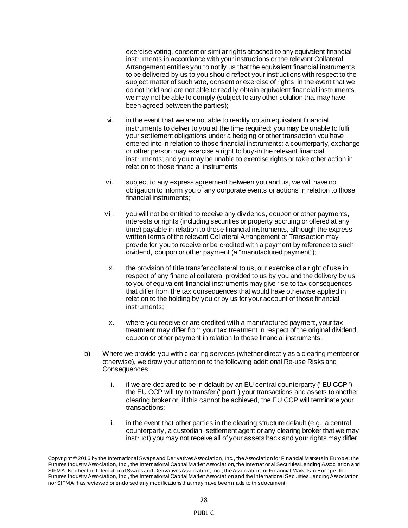exercise voting, consent or similar rights attached to any equivalent financial instruments in accordance with your instructions or the relevant Collateral Arrangement entitles you to notify us that the equivalent financial instruments to be delivered by us to you should reflect your instructions with respect to the subject matter of such vote, consent or exercise of rights, in the event that we do not hold and are not able to readily obtain equivalent financial instruments, we may not be able to comply (subject to any other solution that may have been agreed between the parties);

- vi. in the event that we are not able to readily obtain equivalent financial instruments to deliver to you at the time required: you may be unable to fulfil your settlement obligations under a hedging or other transaction you have entered into in relation to those financial instruments; a counterparty, exchange or other person may exercise a right to buy-in the relevant financial instruments; and you may be unable to exercise rights or take other action in relation to those financial instruments;
- vii. subject to any express agreement between you and us, we will have no obligation to inform you of any corporate events or actions in relation to those financial instruments;
- viii. you will not be entitled to receive any dividends, coupon or other payments, interests or rights (including securities or property accruing or offered at any time) payable in relation to those financial instruments, although the express written terms of the relevant Collateral Arrangement or Transaction may provide for you to receive or be credited with a payment by reference to such dividend, coupon or other payment (a "manufactured payment");
- ix. the provision of title transfer collateral to us, our exercise of a right of use in respect of any financial collateral provided to us by you and the delivery by us to you of equivalent financial instruments may give rise to tax consequences that differ from the tax consequences that would have otherwise applied in relation to the holding by you or by us for your account of those financial instruments;
- x. where you receive or are credited with a manufactured payment, your tax treatment may differ from your tax treatment in respect of the original dividend, coupon or other payment in relation to those financial instruments.
- b) Where we provide you with clearing services (whether directly as a clearing member or otherwise), we draw your attention to the following additional Re-use Risks and Consequences:
	- i. if we are declared to be in default by an EU central counterparty ("**EU CCP**") the EU CCP will try to transfer ("**port**") your transactions and assets to another clearing broker or, if this cannot be achieved, the EU CCP will terminate your transactions;
	- $ii.$  in the event that other parties in the clearing structure default (e.g., a central counterparty, a custodian, settlement agent or any clearing broker that we may instruct) you may not receive all of your assets back and your rights may differ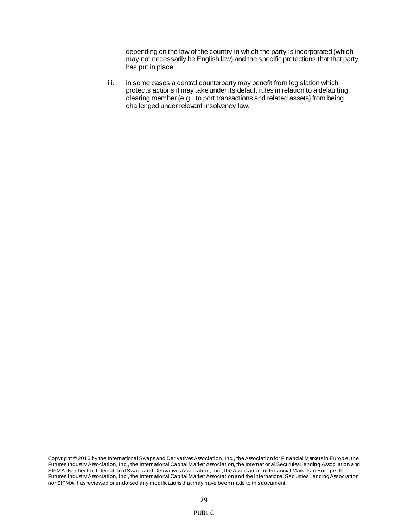depending on the law of the country in which the party is incorporated (which may not necessarily be English law) and the specific protections that that party has put in place;

iii. in some cases a central counterparty may benefit from legislation which protects actions it may take under its default rules in relation to a defaulting clearing member (e.g., to port transactions and related assets) from being challenged under relevant insolvency law.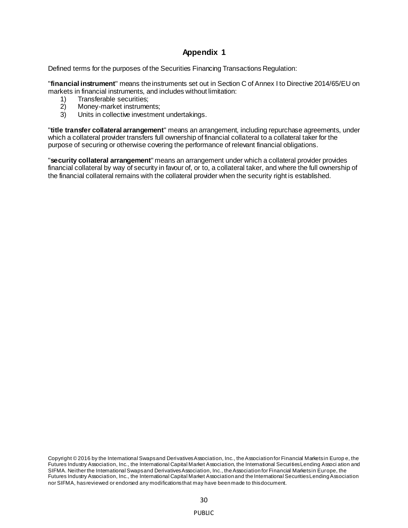# **Appendix 1**

Defined terms for the purposes of the Securities Financing Transactions Regulation:

"**financial instrument**" means the instruments set out in Section C of Annex I to Directive 2014/65/EU on markets in financial instruments, and includes without limitation:

- 1) Transferable securities;<br>2) Money-market instrume
- Money-market instruments;
- 3) Units in collective investment undertakings.

"**title transfer collateral arrangement**" means an arrangement, including repurchase agreements, under which a collateral provider transfers full ownership of financial collateral to a collateral taker for the purpose of securing or otherwise covering the performance of relevant financial obligations.

"**security collateral arrangement**" means an arrangement under which a collateral provider provides financial collateral by way of security in favour of, or to, a collateral taker, and where the full ownership of the financial collateral remains with the collateral provider when the security right is established.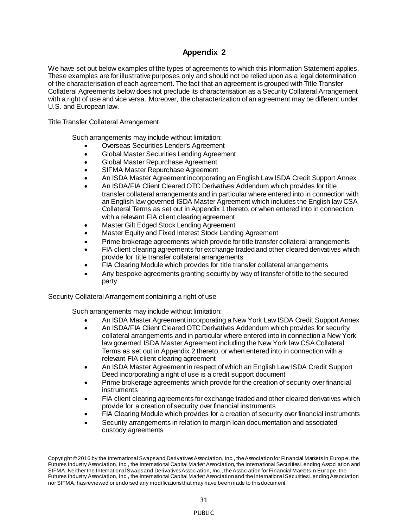# **Appendix 2**

We have set out below examples of the types of agreements to which this Information Statement applies. These examples are for illustrative purposes only and should not be relied upon as a legal determination of the characterisation of each agreement. The fact that an agreement is grouped with Title Transfer Collateral Agreements below does not preclude its characterisation as a Security Collateral Arrangement with a right of use and vice versa. Moreover, the characterization of an agreement may be different under U.S. and European law.

Title Transfer Collateral Arrangement

Such arrangements may include without limitation:

- Overseas Securities Lender's Agreement
- Global Master Securities Lending Agreement
- Global Master Repurchase Agreement
- SIFMA Master Repurchase Agreement
- An ISDA Master Agreement incorporating an English Law ISDA Credit Support Annex
- An ISDA/FIA Client Cleared OTC Derivatives Addendum which provides for title transfer collateral arrangements and in particular where entered into in connection with an English law governed ISDA Master Agreement which includes the English law CSA Collateral Terms as set out in Appendix 1 thereto, or when entered into in connection with a relevant FIA client clearing agreement
- Master Gilt Edged Stock Lending Agreement
- Master Equity and Fixed Interest Stock Lending Agreement
- Prime brokerage agreements which provide for title transfer collateral arrangements
- FIA client clearing agreements for exchange traded and other cleared derivatives which provide for title transfer collateral arrangements
- FIA Clearing Module which provides for title transfer collateral arrangements
- Any bespoke agreements granting security by way of transfer of title to the secured party

Security Collateral Arrangement containing a right of use

Such arrangements may include without limitation:

- An ISDA Master Agreement incorporating a New York Law ISDA Credit Support Annex
- An ISDA/FIA Client Cleared OTC Derivatives Addendum which provides for security collateral arrangements and in particular where entered into in connection a New York law governed ISDA Master Agreement including the New York law CSA Collateral Terms as set out in Appendix 2 thereto, or when entered into in connection with a relevant FIA client clearing agreement
- An ISDA Master Agreement in respect of which an English Law ISDA Credit Support Deed incorporating a right of use is a credit support document
- Prime brokerage agreements which provide for the creation of security over financial instruments
- FIA client clearing agreements for exchange traded and other cleared derivatives which provide for a creation of security over financial instruments
- FIA Clearing Module which provides for a creation of security over financial instruments
- Security arrangements in relation to margin loan documentation and associated custody agreements

Copyright © 2016 by the International Swaps and Derivatives Association, Inc., the Association for Financial Markets in Europ e, the Futures Industry Association, Inc., the International Capital Market Association, the International Securities Lending Associ ation and SIFMA. Neither the International Swaps and Derivatives Association, Inc., the Association for Financial Markets in Europe, the Futures Industry Association, Inc., the International Capital Market Association and the International Securities Lending Association nor SIFMA, has reviewed or endorsed any modifications that may have been made to this document.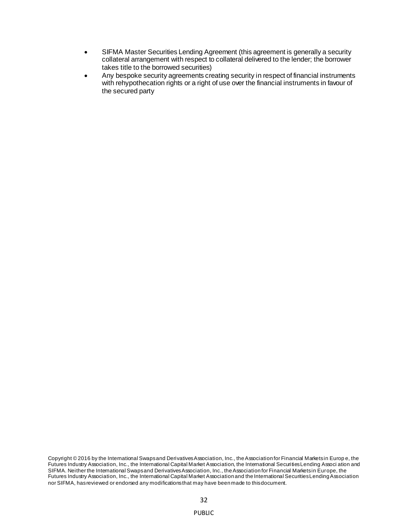- SIFMA Master Securities Lending Agreement (this agreement is generally a security collateral arrangement with respect to collateral delivered to the lender; the borrower takes title to the borrowed securities)
- Any bespoke security agreements creating security in respect of financial instruments with rehypothecation rights or a right of use over the financial instruments in favour of the secured party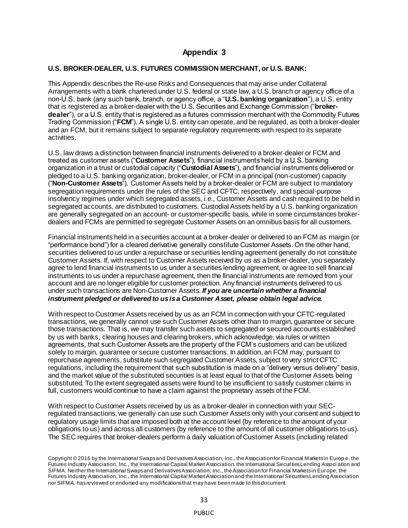### **Appendix 3**

### **U.S. BROKER-DEALER, U.S. FUTURES COMMISSION MERCHANT, or U.S. BANK:**

This Appendix describes the Re-use Risks and Consequences that may arise under Collateral Arrangements with a bank chartered under U.S. federal or state law, a U.S. branch or agency office of a non-U.S. bank (any such bank, branch, or agency office, a "**U.S. banking organization**"), a U.S. entity that is registered as a broker-dealer with the U.S. Securities and Exchange Commission ("**brokerdealer**"), or a U.S. entity that is registered as a futures commission merchant with the Commodity Futures Trading Commission ("**FCM**"). A single U.S. entity can operate, and be regulated, as both a broker-dealer and an FCM, but it remains subject to separate regulatory requirements with respect to its separate activities.

U.S. law draws a distinction between financial instruments delivered to a broker-dealer or FCM and treated as customer assets ("**Customer Assets**"), financial instruments held by a U.S. banking organization in a trust or custodial capacity ("**Custodial Assets**"), and financial instruments delivered or pledged to a U.S. banking organization, broker-dealer, or FCM in a principal (non-customer) capacity ("**Non-Customer Assets**"). Customer Assets held by a broker-dealer or FCM are subject to mandatory segregation requirements under the rules of the SEC and CFTC, respectively, and special-purpose insolvency regimes under which segregated assets, *i.e.*, Customer Assets and cash required to be held in segregated accounts, are distributed to customers. Custodial Assets held by a U.S. banking organization are generally segregated on an account- or customer-specific basis, while in some circumstances brokerdealers and FCMs are permitted to segregate Customer Assets on an omnibus basis for all customers.

Financial instruments held in a securities account at a broker-dealer or delivered to an FCM as margin (or "performance bond") for a cleared derivative generally constitute Customer Assets. On the other hand, securities delivered to us under a repurchase or securities lending agreement generally do not constitute Customer Assets. If, with respect to Customer Assets received by us as a broker-dealer, you separately agree to lend financial instruments to us under a securities lending agreement, or agree to sell financial instruments to us under a repurchase agreement, then the financial instruments are removed from your account and are no longer eligible for customer protection. Any financial instruments delivered to us under such transactions are Non-Customer Assets. *If you are uncertain whether a financial instrument pledged or delivered to us is a Customer Asset, please obtain legal advice.*

With respect to Customer Assets received by us as an FCM in connection with your CFTC-regulated transactions, we generally cannot use such Customer Assets other than to margin, guarantee or secure those transactions. That is, we may transfer such assets to segregated or secured accounts established by us with banks, clearing houses and clearing brokers, which acknowledge, via rules or written agreements, that such Customer Assets are the property of the FCM's customers and can be utilized solely to margin, guarantee or secure customer transactions. In addition, an FCM may, pursuant to repurchase agreements, substitute such segregated Customer Assets, subject to very strict CFTC regulations, including the requirement that such substitution is made on a "delivery versus delivery" basis, and the market value of the substituted securities is at least equal to that of the Customer Assets being substituted. To the extent segregated assets were found to be insufficient to satisfy customer claims in full, customers would continue to have a claim against the proprietary assets of the FCM.

With respect to Customer Assets received by us as a broker-dealer in connection with your SECregulated transactions, we generally can use such Customer Assets only with your consent and subject to regulatory usage limits that are imposed both at the account level (by reference to the amount of your obligations to us) and across all customers (by reference to the amount of all customer obligations to us). The SEC requires that broker-dealers perform a daily valuation of Customer Assets (including related

Copyright © 2016 by the International Swaps and Derivatives Association, Inc., the Association for Financial Markets in Europ e, the Futures Industry Association, Inc., the International Capital Market Association, the International Securities Lending Associ ation and SIFMA. Neither the International Swaps and Derivatives Association, Inc., the Association for Financial Markets in Europe, the Futures Industry Association, Inc., the International Capital Market Association and the International Securities Lending Association nor SIFMA, has reviewed or endorsed any modifications that may have been made to this document.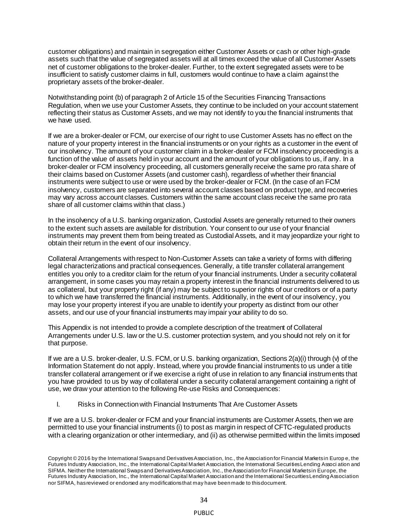customer obligations) and maintain in segregation either Customer Assets or cash or other high-grade assets such that the value of segregated assets will at all times exceed the value of all Customer Assets net of customer obligations to the broker-dealer. Further, to the extent segregated assets were to be insufficient to satisfy customer claims in full, customers would continue to have a claim against the proprietary assets of the broker-dealer.

Notwithstanding point (b) of paragraph 2 of Article 15 of the Securities Financing Transactions Regulation, when we use your Customer Assets, they continue to be included on your account statement reflecting their status as Customer Assets, and we may not identify to you the financial instruments that we have used.

If we are a broker-dealer or FCM, our exercise of our right to use Customer Assets has no effect on the nature of your property interest in the financial instruments or on your rights as a customer in the event of our insolvency. The amount of your customer claim in a broker-dealer or FCM insolvency proceeding is a function of the value of assets held in your account and the amount of your obligations to us, if any. In a broker-dealer or FCM insolvency proceeding, all customers generally receive the same pro rata share of their claims based on Customer Assets (and customer cash), regardless of whether their financial instruments were subject to use or were used by the broker-dealer or FCM. (In the case of an FCM insolvency, customers are separated into several account classes based on product type, and recoveries may vary across account classes. Customers within the same account class receive the same pro rata share of all customer claims within that class.)

In the insolvency of a U.S. banking organization, Custodial Assets are generally returned to their owners to the extent such assets are available for distribution. Your consent to our use of your financial instruments may prevent them from being treated as Custodial Assets, and it may jeopardize your right to obtain their return in the event of our insolvency.

Collateral Arrangements with respect to Non-Customer Assets can take a variety of forms with differing legal characterizations and practical consequences. Generally, a title transfer collateral arrangement entitles you only to a creditor claim for the return of your financial instruments. Under a security collateral arrangement, in some cases you may retain a property interest in the financial instruments delivered to us as collateral, but your property right (if any) may be subject to superior rights of our creditors or of a party to which we have transferred the financial instruments. Additionally, in the event of our insolvency, you may lose your property interest if you are unable to identify your property as distinct from our other assets, and our use of your financial instruments may impair your ability to do so.

This Appendix is not intended to provide a complete description of the treatment of Collateral Arrangements under U.S. law or the U.S. customer protection system, and you should not rely on it for that purpose.

If we are a U.S. broker-dealer, U.S. FCM, or U.S. banking organization, Sections 2(a)(i) through (v) of the Information Statement do not apply. Instead, where you provide financial instruments to us under a title transfer collateral arrangement or if we exercise a right of use in relation to any financial instruments that you have provided to us by way of collateral under a security collateral arrangement containing a right of use, we draw your attention to the following Re-use Risks and Consequences:

I. Risks in Connection with Financial Instruments That Are Customer Assets

If we are a U.S. broker-dealer or FCM and your financial instruments are Customer Assets, then we are permitted to use your financial instruments (i) to post as margin in respect of CFTC-regulated products with a clearing organization or other intermediary, and (ii) as otherwise permitted within the limits imposed

Copyright © 2016 by the International Swaps and Derivatives Association, Inc., the Association for Financial Markets in Europ e, the Futures Industry Association, Inc., the International Capital Market Association, the International Securities Lending Associ ation and SIFMA. Neither the International Swaps and Derivatives Association, Inc., the Association for Financial Markets in Europe, the Futures Industry Association, Inc., the International Capital Market Association and the International Securities Lending Association nor SIFMA, has reviewed or endorsed any modifications that may have been made to this document.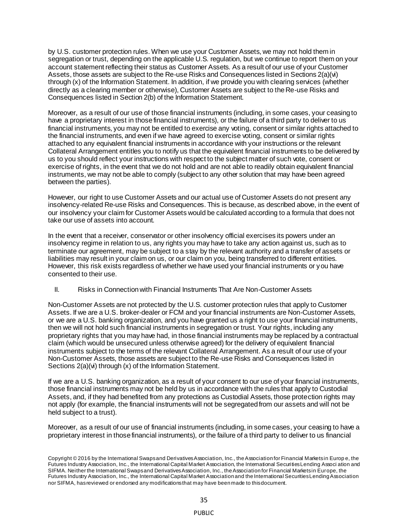by U.S. customer protection rules. When we use your Customer Assets, we may not hold them in segregation or trust, depending on the applicable U.S. regulation, but we continue to report them on your account statement reflecting their status as Customer Assets. As a result of our use of your Customer Assets, those assets are subject to the Re-use Risks and Consequences listed in Sections 2(a)(vi) through (x) of the Information Statement. In addition, if we provide you with clearing services (whether directly as a clearing member or otherwise), Customer Assets are subject to the Re-use Risks and Consequences listed in Section 2(b) of the Information Statement.

Moreover, as a result of our use of those financial instruments (including, in some cases, your ceasing to have a proprietary interest in those financial instruments), or the failure of a third party to deliver to us financial instruments, you may not be entitled to exercise any voting, consent or similar rights attached to the financial instruments, and even if we have agreed to exercise voting, consent or similar rights attached to any equivalent financial instruments in accordance with your instructions or the relevant Collateral Arrangement entitles you to notify us that the equivalent financial instruments to be delivered by us to you should reflect your instructions with respect to the subject matter of such vote, consent or exercise of rights, in the event that we do not hold and are not able to readily obtain equivalent financial instruments, we may not be able to comply (subject to any other solution that may have been agreed between the parties).

However, our right to use Customer Assets and our actual use of Customer Assets do not present any insolvency-related Re-use Risks and Consequences. This is because, as described above, in the event of our insolvency your claim for Customer Assets would be calculated according to a formula that does not take our use of assets into account.

In the event that a receiver, conservator or other insolvency official exercises its powers under an insolvency regime in relation to us, any rights you may have to take any action against us, such as to terminate our agreement, may be subject to a stay by the relevant authority and a transfer of assets or liabilities may result in your claim on us, or our claim on you, being transferred to different entities. However, this risk exists regardless of whether we have used your financial instruments or you have consented to their use.

II. Risks in Connection with Financial Instruments That Are Non-Customer Assets

Non-Customer Assets are not protected by the U.S. customer protection rules that apply to Customer Assets. If we are a U.S. broker-dealer or FCM and your financial instruments are Non-Customer Assets, or we are a U.S. banking organization, and you have granted us a right to use your financial instruments, then we will not hold such financial instruments in segregation or trust. Your rights, including any proprietary rights that you may have had, in those financial instruments may be replaced by a contractual claim (which would be unsecured unless otherwise agreed) for the delivery of equivalent financial instruments subject to the terms of the relevant Collateral Arrangement. As a result of our use of your Non-Customer Assets, those assets are subject to the Re-use Risks and Consequences listed in Sections 2(a)(vi) through (x) of the Information Statement.

If we are a U.S. banking organization, as a result of your consent to our use of your financial instruments, those financial instruments may not be held by us in accordance with the rules that apply to Custodial Assets, and, if they had benefited from any protections as Custodial Assets, those protection rights may not apply (for example, the financial instruments will not be segregated from our assets and will not be held subject to a trust).

Moreover, as a result of our use of financial instruments (including, in some cases, your ceasing to have a proprietary interest in those financial instruments), or the failure of a third party to deliver to us financial

Copyright © 2016 by the International Swaps and Derivatives Association, Inc., the Association for Financial Markets in Europ e, the Futures Industry Association, Inc., the International Capital Market Association, the International Securities Lending Associ ation and SIFMA. Neither the International Swaps and Derivatives Association, Inc., the Association for Financial Markets in Europe, the Futures Industry Association, Inc., the International Capital Market Association and the International Securities Lending Association nor SIFMA, has reviewed or endorsed any modifications that may have been made to this document.